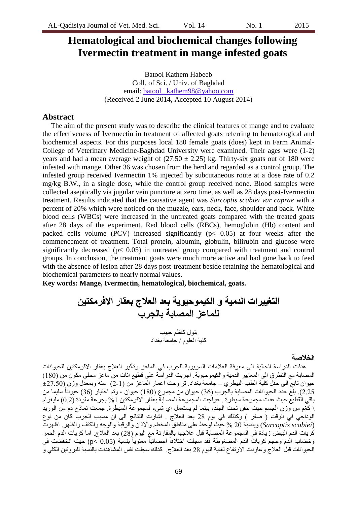# **Hematological and biochemical changes following Ivermectin treatment in mange infested goats**

Batool Kathem Habeeb Coll. of Sci. / Univ. of Baghdad email: batool\_ kathem98@yahoo.com (Received 2 June 2014, Accepted 10 August 2014)

# **Abstract**

The aim of the present study was to describe the clinical features of mange and to evaluate the effectiveness of Ivermectin in treatment of affected goats referring to hematological and biochemical aspects. For this purposes local 180 female goats (does) kept in Farm Animal-College of Veterinary Medicine-Baghdad University were examined. Their ages were (1-2) years and had a mean average weight of  $(27.50 \pm 2.25)$  kg. Thirty-six goats out of 180 were infested with mange. Other 36 was chosen from the herd and regarded as a control group. The infested group received Ivermectin 1% injected by subcutaneous route at a dose rate of 0.2 mg/kg B.W., in a single dose, while the control group received none. Blood samples were collected aseptically via jugular vein puncture at zero time, as well as 28 days post-Ivermectin treatment. Results indicated that the causative agent was *Sarcoptis scabiei var caprae* with a percent of 20% which were noticed on the muzzle, ears, neck, face, shoulder and back. White blood cells (WBCs) were increased in the untreated goats compared with the treated goats after 28 days of the experiment. Red blood cells (RBCs), hemoglobin (Hb) content and packed cells volume (PCV) increased significantly ( $p < 0.05$ ) at four weeks after the commencement of treatment. Total protein, albumin, globulin, bilirubin and glucose were significantly decreased ( $p$ < 0.05) in untreated group compared with treatment and control groups. In conclusion, the treatment goats were much more active and had gone back to feed with the absence of lesion after 28 days post-treatment beside retaining the hematological and biochemical parameters to nearly normal values.

**Key words: Mange, Ivermectin, hematological, biochemical, goats.**

**التغييرات الدمية و الكيموحيوية بعد العالج بعقار االفرمكتين للماعز المصابة بالجرب** ترىل كاظى حثٍة كهٍح انؼهىو / جايؼح تغذاد

#### **الخالصة**

هدفت الدراسة الحالية الى معرفة العلامات السريرية للجرب في الماعز وتأثير العلاج بعقار الافرمكتين للحيوانات المصابة مع النطرق الى المعايير الدمية والكيموحيوية. اجريت الدراسة على قطيع اناث من ماعز محلي مكون من (180)  $\pm 27.50$  حيوان تابع الى حقل كلية الطب البيطري – جامعة بغداد. نراوحت اعمار الماعز من (1-2) سنّه وبمعدل وزن 2.25). بلّغ عدد الحيوانات المصابة بالجرب (36) حيوان من مجموع (180) حيوان ، وتم اختيار (36) حيواناً سليما من باقي القطيع حيث عدت مجموعة سيطرة . عولجت المجموعة المصابة بعقار الافرمكتين 1% بجرعة مفردة (0.2) مليغرام \ كغم من وزن الجسم حيث حقن تحت الجلد، بينما لم يستعمل اي شيء لمجموعة السيطرة. جمعت نماذج دم من الوريد الوداجي في الوقت ( صفر ) وكذلك في يوم 28 بعد العلاج . اشارت النتائج الي ان مسبب الجرب كان من نوع )*scabiei Sarcoptis* )وتُسثح 20 % حٍس نىحع ػهى يُاطك انًخطى واالراٌ وانشلثح وانىجه وانكرف وانظهش. اظهشخ كريات الدم البيض زيادة في المجموعة المصابة قبل علاجها بالمقارنة مع اليوم (28) بعد العلاج. اما كريات الدم الحمر وخضاب الدم وحجم كريات الدم المضغوطة فقد سجلت اختلافاً احصائياً معنوياً بنسبة (0.05 p< (0.05 حيث انخفضت في ً ً الحيوانات قبل العلاج وعاودت الأرتفاع لغاية اليوم 28 بعد العلاج. كذلك سجلت نفس المشاهدات بالنّسبة للبروتين الكلي و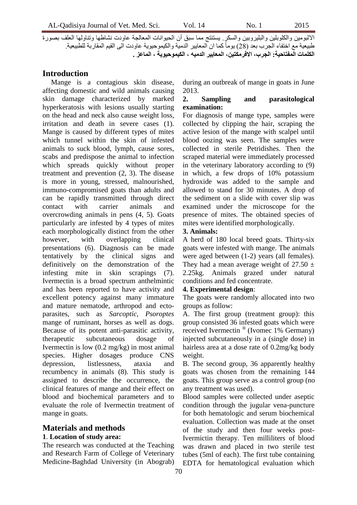الالبومين والكلوبلين والبليروبين والسكر. يستنتج مما سبق أن الحيوانات المعالجة عاودت نشاطها ونُناولها العلف بصورة طبيعية مع اختفاء الجرب بعد (28) يوماً كما ان المعايير الدمية والكيموحيوية عاودت الى القيم المقاربة للطبيعية<sub>.</sub> **الكلمات المفتاحية: الجرب, االفرمكتين, المعايير الدميه , الكيموحيوية , الماعز .** 

# **Introduction**

Mange is a contagious skin disease, affecting domestic and wild animals causing skin damage characterized by marked hyperkeratosis with lesions usually starting on the head and neck also cause weight loss, irritation and death in severe cases (1). Mange is caused by different types of mites which tunnel within the skin of infested animals to suck blood, lymph, cause sores, scabs and predispose the animal to infection which spreads quickly without proper treatment and prevention (2, 3). The disease is more in young, stressed, malnourished, immuno-compromised goats than adults and can be rapidly transmitted through direct contact with carrier animals and overcrowding animals in pens (4, 5). Goats particularly are infested by 4 types of mites each morphologically distinct from the other however, with overlapping clinical presentations (6). Diagnosis can be made tentatively by the clinical signs and definitively on the demonstration of the infesting mite in skin scrapings (7). Ivermectin is a broad spectrum anthelmintic and has been reported to have activity and excellent potency against many immature and mature nematode, arthropod and ectoparasites, such as *Sarcoptic, Psoroptes*  mange of ruminant, horses as well as dogs. Because of its potent anti-parasitic activity, therapeutic subcutaneous dosage of Ivermectin is low (0.2 mg/kg) in most animal species. Higher dosages produce CNS depression, listlessness, ataxia and recumbency in animals (8). This study is assigned to describe the occurrence, the clinical features of mange and their effect on blood and biochemical parameters and to evaluate the role of Ivermectin treatment of mange in goats.

# **Materials and methods**

# **1**. **Location of study area:**

The research was conducted at the Teaching and Research Farm of College of Veterinary Medicine-Baghdad University (in Abograb)

during an outbreak of mange in goats in June 2013.

# **2. Sampling and parasitological examination:**

For diagnosis of mange type, samples were collected by clipping the hair, scraping the active lesion of the mange with scalpel until blood oozing was seen. The samples were collected in sterile Petridishes. Then the scraped material were immediately processed in the veterinary laboratory according to (9) in which, a few drops of 10% potassium hydroxide was added to the sample and allowed to stand for 30 minutes. A drop of the sediment on a slide with cover slip was examined under the microscope for the presence of mites. The obtained species of mites were identified morphologically.

# **3. Animals:**

A herd of 180 local breed goats. Thirty-six goats were infested with mange. The animals were aged between (1-2) years (all females). They had a mean average weight of  $27.50 \pm$ 2.25kg. Animals grazed under natural conditions and fed concentrate.

# **4. Experimental design**:

The goats were randomly allocated into two groups as follow:

A. The first group (treatment group): this group consisted 36 infested goats which were received Ivermectin ® (Ivomec 1% Germany) injected subcutaneously in a (single dose) in hairless area at a dose rate of 0.2mg/kg body weight.

B. The second group, 36 apparently healthy goats was chosen from the remaining 144 goats. This group serve as a control group (no any treatment was used).

Blood samples were collected under aseptic condition through the jugular vena-puncture for both hematologic and serum biochemical evaluation. Collection was made at the onset of the study and then four weeks post-Ivermictin therapy. Ten milliliters of blood was drawn and placed in two sterile test tubes (5ml of each). The first tube containing EDTA for hematological evaluation which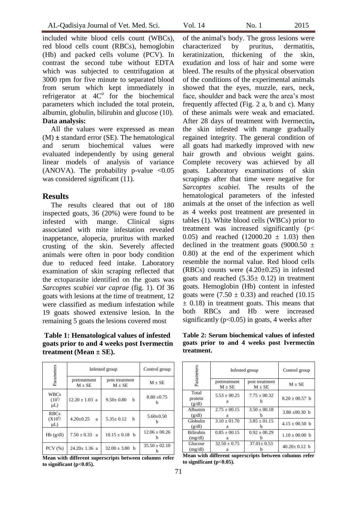included white blood cells count (WBCs), red blood cells count (RBCs), hemoglobin (Hb) and packed cells volume (PCV). In contrast the second tube without EDTA which was subjected to centrifugation at 3000 rpm for five minute to separated blood from serum which kept immediately in refrigerator at  $4C^{\circ}$  for the biochemical parameters which included the total protein, albumin, globulin, bilirubin and glucose (10). **Data analysis:**

All the values were expressed as mean (M) **±** standard error (SE). The hematological and serum biochemical values were evaluated independently by using general linear models of analysis of variance (ANOVA). The probability p-value  $\langle 0.05$ was considered significant (11).

# **Results**

The results cleared that out of 180 inspected goats, 36 (20%) were found to be infested with mange. Clinical signs associated with mite infestation revealed inappetance, alopecia, pruritus with marked crusting of the skin. Severely affected animals were often in poor body condition due to reduced feed intake. Laboratory examination of skin scraping reflected that the ectoparasite identified on the goats was *Sarcoptes scabiei var caprae* (fig. 1). Of 36 goats with lesions at the time of treatment, 12 were classified as medium infestation while 19 goats showed extensive lesion. In the remaining 5 goats the lesions covered most

**Table 1: Hematological values of infested goats prior to and 4 weeks post Ivermectin treatment (Mean ± SE).** 

| Parameters                        | Infested group           |                            | Control group     |
|-----------------------------------|--------------------------|----------------------------|-------------------|
|                                   | pretreatment<br>$M + SE$ | post treatment<br>$M + SE$ | $M + SE$          |
| <b>WBCs</b><br>$(10^3/$<br>μL)    | $12.20 \pm 1.03$ a       | $9.50 + 0.80$<br>h         | $8.80 \pm 0.75$   |
| <b>RBCs</b><br>$(X10^{6}/$<br>μL) | $4.20+0.25$<br>a         | $5.35+0.12$<br>h           | $5.60+0.50$       |
| Hb(g/dl)                          | $7.50 \pm 0.33$ a        | $10.15 \pm 0.18$ b         | $12.06 \pm 00.26$ |
| $PCV$ $(\% )$                     | $24.20 + 1.36$ a         | $32.00 + 3.80$ b           | $35.50 + 02.10$   |

**Mean with different superscripts between columns refer**  to significant  $(p<0.05)$ .

of the animal's body. The gross lesions were characterized by pruritus, dermatitis, keratinization, thickening of the skin, exudation and loss of hair and some were bleed. The results of the physical observation of the conditions of the experimental animals showed that the eyes, muzzle, ears, neck, face, shoulder and back were the area's most frequently affected (Fig. 2 a, b and c). Many of these animals were weak and emaciated. After 28 days of treatment with Ivermectin**,** the skin infested with mange gradually regained integrity. The general condition of all goats had markedly improved with new hair growth and obvious weight gains. Complete recovery was achieved by all goats. Laboratory examinations of skin scrapings after that time were negative for *Sarcoptes scabiei.* The results of the hematological parameters of the infested animals at the onset of the infection as well as 4 weeks post treatment are presented in tables (1). White blood cells (WBCs) prior to treatment was increased significantly (p< 0.05) and reached  $(12000.20 \pm 1.03)$  then declined in the treatment goats (9000.50  $\pm$ 0.80) at the end of the experiment which resemble the normal value. Red blood cells (RBCs) counts were  $(4.20\pm0.25)$  in infested goats and reached  $(5.35 \pm 0.12)$  in treatment goats. Hemoglobin (Hb) content in infested goats were  $(7.50 \pm 0.33)$  and reached  $(10.15$  $\pm$  0.18) in treatment goats. This means that both RBCs and Hb were increased significantly ( $p<0.05$ ) in goats, 4 weeks after

**Table 2: Serum biochemical values of infested goats prior to and 4 weeks post Ivermectin treatment.**

| Parameters                  | Infested group           |                            | Control group      |
|-----------------------------|--------------------------|----------------------------|--------------------|
|                             | pretreatment<br>$M + SE$ | post treatment<br>$M + SE$ | $M \pm SE$         |
| Total<br>protein<br>(g/dl)  | $5.53 + 00.25$<br>a      | $7.75 + 00.32$             | $8.20 + 00.57$ h   |
| Albumin<br>(g/dl)           | $2.75 + 00.15$<br>a      | $3.50 \pm 00.18$<br>h      | $3.80 \pm 00.30$ b |
| Globulin<br>(g/dl)          | $3.10 \pm 01.70$<br>a    | $3.85 \pm 01.15$           | $4.15 \pm 00.50$ b |
| <b>Bilirubin</b><br>(mg/dl) | $0.85 \pm 00.15$<br>a    | $0.92 \pm 00.29$           | $1.10 \pm 00.00$ b |
| Glucose<br>(mg/dl)          | $32.50 + 0.75$<br>a      | $37.01 \pm 0.53$           | $40.20 + 0.12$ h   |

**Mean with different superscripts between columns refer to significant (p<0.05).**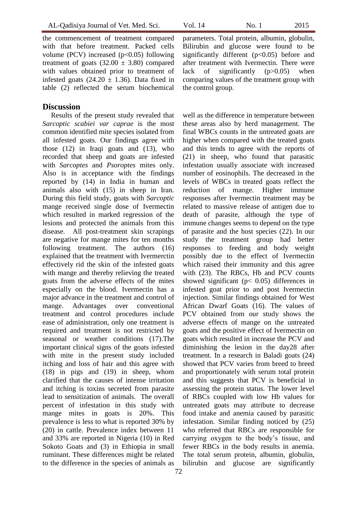the commencement of treatment compared with that before treatment. Packed cells volume (PCV) increased  $(p<0.05)$  following treatment of goats  $(32.00 \pm 3.80)$  compared with values obtained prior to treatment of infested goats  $(24.20 \pm 1.36)$ . Data fixed in table (2) reflected the serum biochemical

#### **Discussion**

Results of the present study revealed that *Sarcoptic scabiei var caprae* is the most common identified mite species isolated from all infested goats. Our findings agree with those (12) in Iraqi goats and (13), who recorded that sheep and goats are infested with *Sarcoptes* and *Psoroptes* mites only. Also is in acceptance with the findings reported by (14) in India in human and animals also with (15) in sheep in Iran. During this field study, goats with *Sarcoptic* mange received single dose of Ivermectin which resulted in marked regression of the lesions and protected the animals from this disease. All post-treatment skin scrapings are negative for mange mites for ten months following treatment. The authors (16) explained that the treatment with Ivermerctin effectively rid the skin of the infested goats with mange and thereby relieving the treated goats from the adverse effects of the mites especially on the blood. Ivermectin has a major advance in the treatment and control of mange. Advantages over conventional treatment and control procedures include ease of administration, only one treatment is required and treatment is not restricted by seasonal or weather conditions (17).The important clinical signs of the goats infested with mite in the present study included itching and loss of hair and this agree with (18) in pigs and (19) in sheep, whom clarified that the causes of intense irritation and itching is toxins secreted from parasite lead to sensitization of animals. The overall percent of infestation in this study with mange mites in goats is 20%. This prevalence is less to what is reported 30% by (20) in cattle. Prevalence index between 11 and 33% are reported in Nigeria (10) in Red Sokoto Goats and (3) in Ethiopia in small ruminant. These differences might be related to the difference in the species of animals as

parameters. Total protein, albumin, globulin, Bilirubin and glucose were found to be significantly different  $(p<0.05)$  before and after treatment with Ivermectin. There were lack of significantly (p>0.05) when comparing values of the treatment group with the control group.

well as the difference in temperature between these areas also by herd management. The final WBCs counts in the untreated goats are higher when compared with the treated goats and this tends to agree with the reports of (21) in sheep, who found that parasitic infestation usually associate with increased number of eosinophils. The decreased in the levels of WBCs in treated goats reflect the reduction of mange. Higher immune responses after Ivermectin treatment may be related to massive release of antigen due to death of parasite, although the type of immune changes seems to depend on the type of parasite and the host species (22). In our study the treatment group had better responses to feeding and body weight possibly due to the effect of Ivermectin which raised their immunity and this agree with (23). The RBCs, Hb and PCV counts showed significant ( $p < 0.05$ ) differences in infested goat prior to and post Ivermectin injection. Similar findings obtained for West African Dwarf Goats (16). The values of PCV obtained from our study shows the adverse effects of mange on the untreated goats and the positive effect of Ivermectin on goats which resulted in increase the PCV and diminishing the lesion in the day28 after treatment. In a research in Baladi goats (24) showed that PCV varies from breed to breed and proportionately with serum total protein and this suggests that PCV is beneficial in assessing the protein status. The lower level of RBCs coupled with low Hb values for untreated goats may attribute to decrease food intake and anemia caused by parasitic infestation. Similar finding noticed by (25) who referred that RBCs are responsible for carrying oxygen to the body's tissue, and fewer RBCs in the body results in anemia. The total serum protein, albumin, globulin, bilirubin and glucose are significantly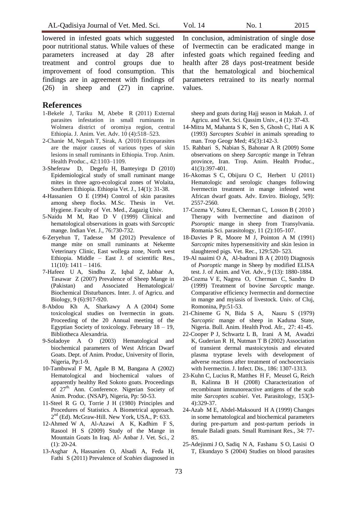lowered in infested goats which suggested poor nutritional status. While values of these parameters increased at day 28 after treatment and control groups due to improvement of food consumption. This findings are in agreement with findings of (26) in sheep and (27) in caprine.

#### **References**

- 1-Bekele J, Tariku M, Abebe R (2011) External parasites infestation in small ruminants in Wolmera district of oromiya region, central Ethiopia. J. Anim. Vet. Adv. 10 (4):518–523.
- 2-Chanie M, Negash T, Sirak, A (2010) Ectoparasites are the major causes of various types of skin lesions in small ruminants in Ethiopia. Trop. Anim. Health Produc., 42:1103–1109.
- 3-Sheferaw D, Degefu H, Banteyirgu D (2010) Epidemiological study of small ruminant mange mites in three agro-ecological zones of Wolaita, Southern Ethiopia. Ethiopia Vet. J., 14(1): 31-38.
- 4-Hassanien O E (1994) Control of skin parasites among sheep flocks. M.Sc. Thesis in Vet. Hygiene. Faculty of Vet. Med., Zagazig Univ.
- 5-Naidu M M, Rao D V (1999) Clinical and hematological observations in goats with *Sarcoptic* mange. Indian Vet. J., 76:730-732.
- 6-Zeryehun T, Tadesse M (2012) Prevalence of mange mite on small ruminants at Nekemte Veterinary Clinic, East wollega zone, North west Ethiopia. Middle – East J. of scientific Res.,  $11(10): 1411 - 1416.$
- 7-Hafeez U A, Sindhu Z, Iqbal Z, Jabbar A, Tasawar Z (2007) Prevalence of Sheep Mange in (Pakistan) and Associated Hematological/ Biochemical Disturbances. Inter. J. of Agricu. and Biology, 9 (6):917-920.
- 8-Abdou Kh A, Sharkawy A A (2004) Some toxicological studies on Ivermectin in goats. Proceeding of the 20 Annual meeting of the Egyptian Society of toxicology. February 18 – 19, Bibliotheca Alexandria.
- 9-Soladoye A O (2003) Hematological and biochemical parameters of West African Dwarf Goats. Dept. of Anim. Produc, University of Ilorin, Nigeria, Pp:1-9.
- 10-Tambuwal F M, Agale B M, Bangana A (2002) Hematological and biochemical values of apparently healthy Red Sokoto goats. Proceedings of 27<sup>th.</sup> Ann. Conference. Nigerian Society of Anim. Produc. (NSAP), Nigeria, Pp: 50-53.
- 11-Steel R G O, Torrie J H (1980) Principles and Procedures of Statistics. A Biometrical approach. 2<sup>nd</sup> (Ed). McGraw-Hill. New York, USA., P: 633.
- 12-Ahmed W A, Al-Azawi A K, Kadhim F S, Rasool H S (2009) Study of the Mange in Mountain Goats In Iraq. Al- Anbar J. Vet. Sci., 2 (1): 20-24.
- 13-Asghar A, Hassanien O, Alsadi A, Feda H, Fathi S (2011) Prevalence of *Scabies* diagnosed in

In conclusion, administration of single dose of Ivermectin can be eradicated mange in infested goats which regained feeding and health after 28 days post-treatment beside that the hematological and biochemical parameters retrained to its nearly normal values.

sheep and goats during Hajj season in Makah. J. of Agricu. and Vet. Sci. Qassim Univ.*,* 4 (1): 37-43.

- 14-Mitra M, Mahanta S K, Sen S, Ghosh C, Hati A K (1993) *Sarcoptes Scabiei* in animals spreading to man. Trop Geogr Med; 45(3):142-3.
- 15. Rahbari S, Nabian S, Bahonar A R (2009) Some observations on sheep *Sarcoptic* mange in Tehran province, Iran. Trop. Anim. Health Produc., 41(3):397-401.
- 16-Akomas S C, Obijuru O C, Herbert U (2011) Hematologic and serologic changes following Ivermectin treatment in mange infested west African dwarf goats. Adv. Enviro. Biology, 5(9): 2557-2560.
- 17-Cozma V, Suteu E, Cherman C, Losson B ( 2010 ) Therapy with Ivermectine and diazinon of *Psoroptic* mange in sheep from Transylvania. Romania Sci. parasitology, 11 (2):105-107.
- 18-Davies P R, Moore M J, Pointon A M (1991) *Sarcoptic* mites hypersensitivity and skin lesion in slaughtered pigs. Vet. Rec., 129:520- 523.
- 19-Al naaimi O A, Al-badrani B A ( 2010) Diagnosis of *Psoroptic* mange in Sheep by modified ELISA test. J. of Anim. and Vet. Adv., 9 (13): 1880-1884.
- 20-Cozma V E, Nagrea O, Cherman C, Sandru D (1999) Treatment of bovine *Sarcoptic* mange. Comparative efficiency Ivermectin and dormectine in mange and myiasis of livestock. Univ. of Cluj, Romonina, Pp:51-53.
- 21-Chineme G N, Bida S A, Nauru S (1979) *Sarcoptic* mange of sheep in Kaduna State, Nigeria. Bull. Anim. Health Prod. Afr., 27: 41-45.
- 22-Cooper P J, Schwartz L B, Irani A M, Awadzi K, Guderian R H, Nutman T B (2002) Association of transient dermal mastoicytosis and elevated plasma tryptase levels with development of adverse reactions after treatment of onchocerciasis with Ivermectin. J. Infect. Dis., 186: 1307-1313.
- 23-Kuhn C, Lucius R, Matthes H F, Meusel G, Reich B, Kalinna B H (2008) Characterization of recombinant immunoreactive antigens of the scab mite *Sarcoptes scabiei*. Vet. Parasitology, 153(3- 4):329-37.
- 24-Azab M E, Abdel-Maksourd H A (1999) Changes in some hematological and biochemical parameters during pre-partum and post-partum periods in female Baladi goats. Small Ruminant Res., 34: 77- 85.
- 25-Adejinmi J O, Sadiq N A, Fashanu S O, Lasisi O T, Ekundayo S (2004) Studies on blood parasites